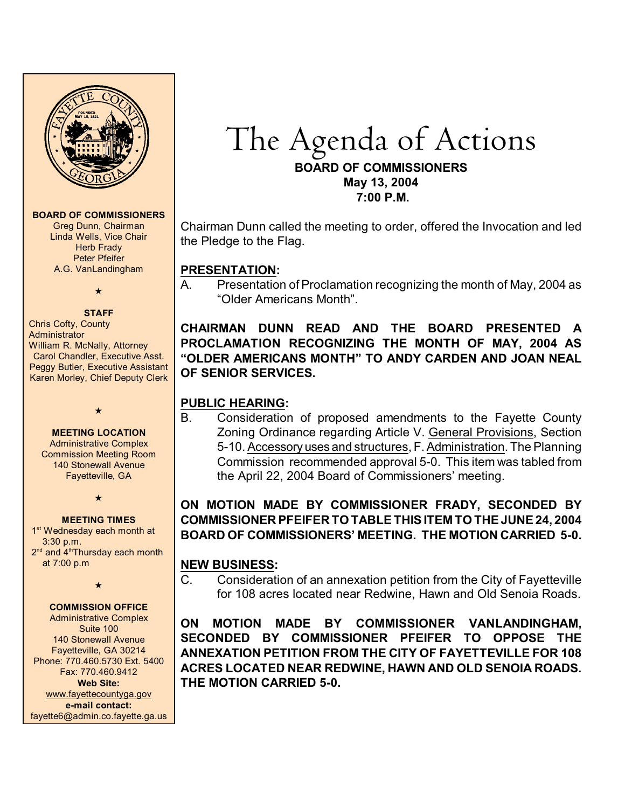

#### **BOARD OF COMMISSIONERS**

Greg Dunn, Chairman Linda Wells, Vice Chair **Herb Frady** Peter Pfeifer A.G. VanLandingham

# $\star$

**STAFF** Chris Cofty, County **Administrator** William R. McNally, Attorney Carol Chandler, Executive Asst. Peggy Butler, Executive Assistant Karen Morley, Chief Deputy Clerk

#### **MEETING LOCATION**

 $\star$ 

Administrative Complex Commission Meeting Room 140 Stonewall Avenue Fayetteville, GA

 $\star$ 

**MEETING TIMES** 1<sup>st</sup> Wednesday each month at 3:30 p.m.  $2<sup>nd</sup>$  and  $4<sup>th</sup>$ Thursday each month at 7:00 p.m

 $\star$ 

#### **COMMISSION OFFICE**

Administrative Complex Suite 100 140 Stonewall Avenue Fayetteville, GA 30214 Phone: 770.460.5730 Ext. 5400 Fax: 770.460.9412 **Web Site:** [www.fayettecountyga.gov](http://www.admin.co.fayette.ga.us) **e-mail contact:** fayette6@admin.co.fayette.ga.us

## The Agenda of Actions **BOARD OF COMMISSIONERS May 13, 2004 7:00 P.M.**

Chairman Dunn called the meeting to order, offered the Invocation and led the Pledge to the Flag.

#### **PRESENTATION:**

A. Presentation of Proclamation recognizing the month of May, 2004 as "Older Americans Month".

**CHAIRMAN DUNN READ AND THE BOARD PRESENTED A PROCLAMATION RECOGNIZING THE MONTH OF MAY, 2004 AS "OLDER AMERICANS MONTH" TO ANDY CARDEN AND JOAN NEAL OF SENIOR SERVICES.** 

## **PUBLIC HEARING:**

B. Consideration of proposed amendments to the Fayette County Zoning Ordinance regarding Article V. General Provisions, Section 5-10. Accessory uses and structures, F. Administration. The Planning Commission recommended approval 5-0. This item was tabled from the April 22, 2004 Board of Commissioners' meeting.

## **ON MOTION MADE BY COMMISSIONER FRADY, SECONDED BY COMMISSIONER PFEIFER TO TABLE THIS ITEM TO THE JUNE 24, 2004 BOARD OF COMMISSIONERS' MEETING. THE MOTION CARRIED 5-0.**

## **NEW BUSINESS:**

C. Consideration of an annexation petition from the City of Fayetteville for 108 acres located near Redwine, Hawn and Old Senoia Roads.

**ON MOTION MADE BY COMMISSIONER VANLANDINGHAM, SECONDED BY COMMISSIONER PFEIFER TO OPPOSE THE ANNEXATION PETITION FROM THE CITY OF FAYETTEVILLE FOR 108 ACRES LOCATED NEAR REDWINE, HAWN AND OLD SENOIA ROADS. THE MOTION CARRIED 5-0.**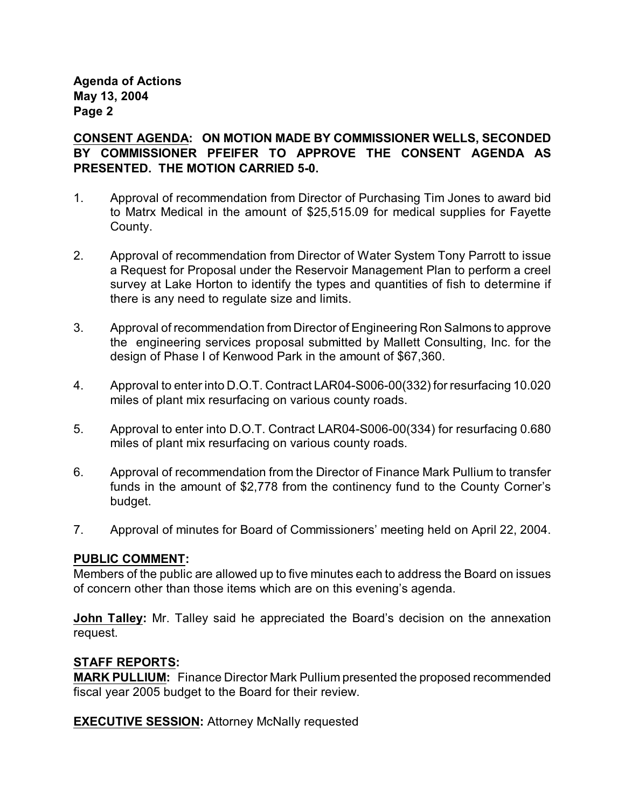**Agenda of Actions May 13, 2004 Page 2**

#### **CONSENT AGENDA: ON MOTION MADE BY COMMISSIONER WELLS, SECONDED BY COMMISSIONER PFEIFER TO APPROVE THE CONSENT AGENDA AS PRESENTED. THE MOTION CARRIED 5-0.**

- 1. Approval of recommendation from Director of Purchasing Tim Jones to award bid to Matrx Medical in the amount of \$25,515.09 for medical supplies for Fayette County.
- 2. Approval of recommendation from Director of Water System Tony Parrott to issue a Request for Proposal under the Reservoir Management Plan to perform a creel survey at Lake Horton to identify the types and quantities of fish to determine if there is any need to regulate size and limits.
- 3. Approval of recommendation from Director of Engineering Ron Salmons to approve the engineering services proposal submitted by Mallett Consulting, Inc. for the design of Phase I of Kenwood Park in the amount of \$67,360.
- 4. Approval to enter into D.O.T. Contract LAR04-S006-00(332) for resurfacing 10.020 miles of plant mix resurfacing on various county roads.
- 5. Approval to enter into D.O.T. Contract LAR04-S006-00(334) for resurfacing 0.680 miles of plant mix resurfacing on various county roads.
- 6. Approval of recommendation from the Director of Finance Mark Pullium to transfer funds in the amount of \$2,778 from the continency fund to the County Corner's budget.
- 7. Approval of minutes for Board of Commissioners' meeting held on April 22, 2004.

#### **PUBLIC COMMENT:**

Members of the public are allowed up to five minutes each to address the Board on issues of concern other than those items which are on this evening's agenda.

**John Talley:** Mr. Talley said he appreciated the Board's decision on the annexation request.

#### **STAFF REPORTS:**

**MARK PULLIUM:** Finance Director Mark Pullium presented the proposed recommended fiscal year 2005 budget to the Board for their review.

**EXECUTIVE SESSION: Attorney McNally requested**